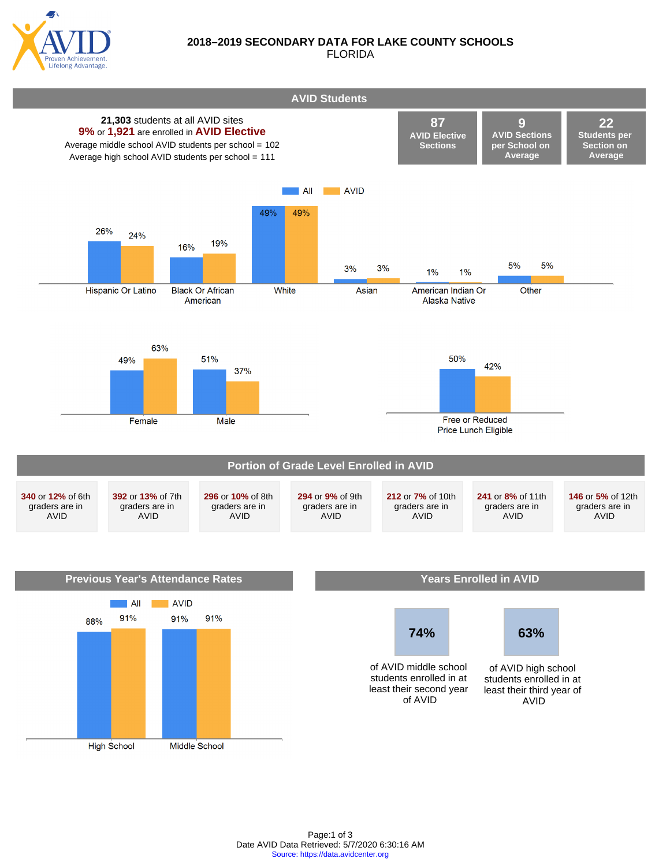

# **2018–2019 SECONDARY DATA FOR LAKE COUNTY SCHOOLS** FLORIDA

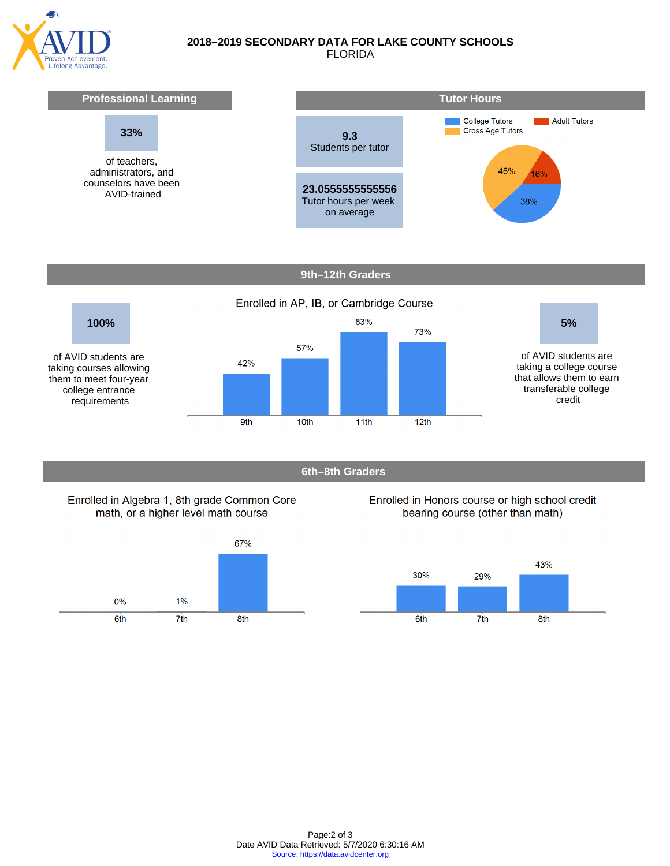

### **2018–2019 SECONDARY DATA FOR LAKE COUNTY SCHOOLS** FLORIDA



**6th–8th Graders**

# Enrolled in Algebra 1, 8th grade Common Core math, or a higher level math course



### Enrolled in Honors course or high school credit bearing course (other than math)